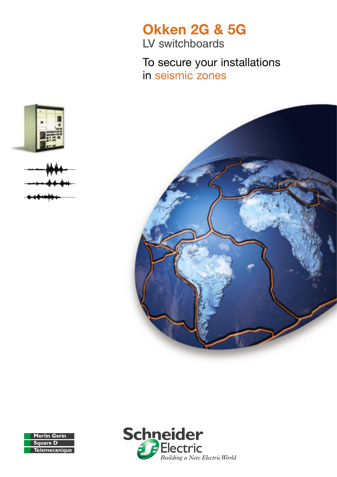# **Okken 2G & 5G**

LV switchboards

To secure your installations in seismic zones









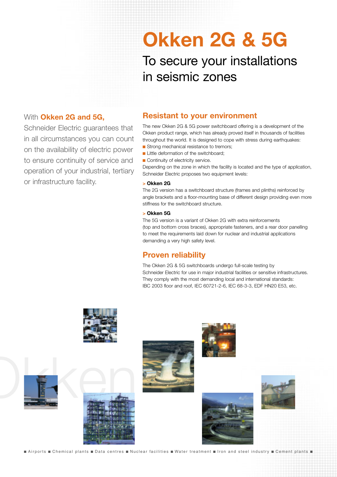# **Okken 2G & 5G**

To secure your installations in seismic zones

#### With **Okken 2G and 5G,**

Schneider Electric quarantees that in all circumstances you can count on the availability of electric power to ensure continuity of service and operation of your industrial, tertiary or infrastructure facility.

## **Resistant to your environment**

The new Okken 2G & 5G power switchboard offering is a development of the Okken product range, which has already proved itself in thousands of facilities throughout the world. It is designed to cope with stress during earthquakes: Strong mechanical resistance to tremors;

- **Little deformation of the switchboard:**
- Continuity of electricity service.

Depending on the zone in which the facility is located and the type of application, Schneider Electric proposes two equipment levels:

#### **> Okken 2G**

The 2G version has a switchboard structure (frames and plinths) reinforced by angle brackets and a floor-mounting base of different design providing even more stiffness for the switchboard structure.

#### **> Okken 5G**

The 5G version is a variant of Okken 2G with extra reinforcements (top and bottom cross braces), appropriate fasteners, and a rear door panelling to meet the requirements laid down for nuclear and industrial applications demanding a very high safety level.

### **Proven reliability**

The Okken 2G & 5G switchboards undergo full-scale testing by Schneider Electric for use in major industrial facilities or sensitive infrastructures. They comply with the most demanding local and international standards: IBC 2003 floor and roof, IEC 60721-2-6, IEC 68-3-3, EDF HN20 E53, etc.



Extraorts Chemical plants Data centres **n** Nuclear facilities water treatment from and steel industry **n** Cement plants **n**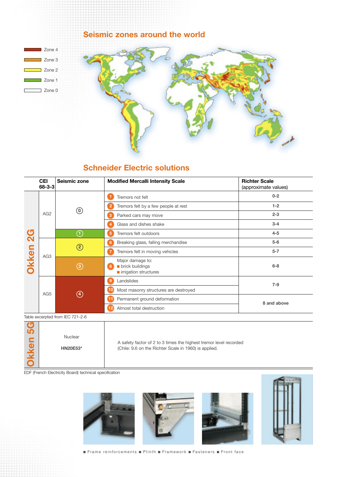

## **Schneider Electric solutions**

|                                | <b>CEI</b><br>$68 - 3 - 3$ | Seismic zone      | <b>Modified Mercalli Intensity Scale</b>                                                   | <b>Richter Scale</b><br>(approximate values) |
|--------------------------------|----------------------------|-------------------|--------------------------------------------------------------------------------------------|----------------------------------------------|
| $\overline{2}$<br><b>Okken</b> | AG <sub>2</sub>            | $\left( 0\right)$ | Tremors not felt                                                                           | $0 - 2$                                      |
|                                |                            |                   | Tremors felt by a few people at rest<br>2                                                  | $1 - 2$                                      |
|                                |                            |                   | Parked cars may move<br>3                                                                  | $2 - 3$                                      |
|                                |                            |                   | Glass and dishes shake                                                                     | $3 - 4$                                      |
|                                |                            | ①                 | 5<br>Tremors felt outdoors                                                                 | $4 - 5$                                      |
|                                | AG <sub>3</sub>            | $\circled{2}$     | Breaking glass, falling merchandise<br>6                                                   | $5-6$                                        |
|                                |                            |                   | Tremors felt in moving vehicles                                                            | $5 - 7$                                      |
|                                |                            | $\circled{3}$     | Major damage to:<br><b>De</b> brick buildings<br>8<br>$\blacksquare$ irrigation structures | $6 - 8$                                      |
|                                | AG <sub>5</sub>            | $\circledast$     | Landslides<br>9                                                                            | $7 - 9$                                      |
|                                |                            |                   | Most masonry structures are destroyed<br>10                                                |                                              |
|                                |                            |                   | Permanent ground deformation                                                               | 8 and above                                  |
|                                |                            |                   | Almost total destruction                                                                   |                                              |

Table excerpted from IEC 721-2-6

EDF (French Electricity Board) technical specification







 $\blacksquare$  Frame reinforcements  $\blacksquare$  Plinth  $\blacksquare$  Framework  $\blacksquare$  Fasteners  $\blacksquare$  Front face